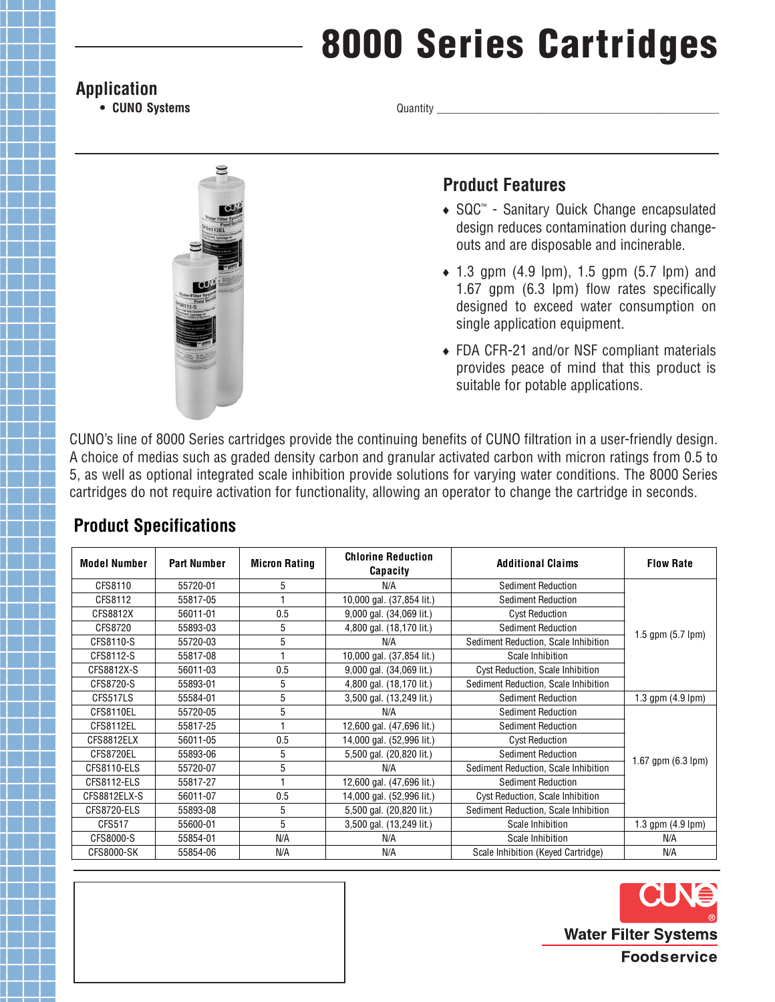# **8000 Series Cartridges**

#### **Application**

**• CUNO Systems**

Quantity \_



### **Product Features**

- ◆ SQC™ Sanitary Quick Change encapsulated design reduces contamination during changeouts and are disposable and incinerable.
- $\bullet$  1.3 gpm (4.9 lpm), 1.5 gpm (5.7 lpm) and 1.67 gpm (6.3 lpm) flow rates specifically designed to exceed water consumption on single application equipment.
- FDA CFR-21 and/or NSF compliant materials provides peace of mind that this product is suitable for potable applications.

CUNO's line of 8000 Series cartridges provide the continuing benefits of CUNO filtration in a user-friendly design. A choice of medias such as graded density carbon and granular activated carbon with micron ratings from 0.5 to 5, as well as optional integrated scale inhibition provide solutions for varying water conditions. The 8000 Series cartridges do not require activation for functionality, allowing an operator to change the cartridge in seconds.

| <b>Model Number</b> | <b>Part Number</b> | <b>Micron Rating</b> | <b>Chlorine Reduction</b><br>Capacity | <b>Additional Claims</b>             | <b>Flow Rate</b>            |
|---------------------|--------------------|----------------------|---------------------------------------|--------------------------------------|-----------------------------|
| CFS8110             | 55720-01           | 5                    | N/A                                   | <b>Sediment Reduction</b>            | 1.5 gpm $(5.7 \text{ lpm})$ |
| CFS8112             | 55817-05           |                      | 10,000 gal. (37,854 lit.)             | Sediment Reduction                   |                             |
| CFS8812X            | 56011-01           | 0.5                  | 9,000 gal. (34,069 lit.)              | <b>Cyst Reduction</b>                |                             |
| CFS8720             | 55893-03           | 5                    | 4,800 gal. (18,170 lit.)              | Sediment Reduction                   |                             |
| CFS8110-S           | 55720-03           | 5                    | N/A                                   | Sediment Reduction, Scale Inhibition |                             |
| CFS8112-S           | 55817-08           |                      | 10,000 gal. (37,854 lit.)             | Scale Inhibition                     |                             |
| CFS8812X-S          | 56011-03           | 0.5                  | 9,000 gal. (34,069 lit.)              | Cyst Reduction, Scale Inhibition     |                             |
| CFS8720-S           | 55893-01           | 5                    | 4,800 gal. (18,170 lit.)              | Sediment Reduction, Scale Inhibition |                             |
| CFS517LS            | 55584-01           | 5                    | 3,500 gal. (13,249 lit.)              | Sediment Reduction                   | 1.3 gpm $(4.9 \text{ lpm})$ |
| CFS8110EL           | 55720-05           | 5                    | N/A                                   | Sediment Reduction                   | 1.67 gpm (6.3 lpm)          |
| CFS8112EL           | 55817-25           |                      | 12,600 gal. (47,696 lit.)             | Sediment Reduction                   |                             |
| CFS8812ELX          | 56011-05           | 0.5                  | 14,000 gal. (52,996 lit.)             | <b>Cyst Reduction</b>                |                             |
| CFS8720EL           | 55893-06           | 5                    | 5,500 gal. (20,820 lit.)              | <b>Sediment Reduction</b>            |                             |
| CFS8110-ELS         | 55720-07           | 5                    | N/A                                   | Sediment Reduction, Scale Inhibition |                             |
| CFS8112-ELS         | 55817-27           |                      | 12,600 gal. (47,696 lit.)             | <b>Sediment Reduction</b>            |                             |
| CFS8812ELX-S        | 56011-07           | 0.5                  | 14,000 gal. (52,996 lit.)             | Cyst Reduction, Scale Inhibition     |                             |
| CFS8720-ELS         | 55893-08           | 5                    | 5,500 gal. (20,820 lit.)              | Sediment Reduction, Scale Inhibition |                             |
| CFS517              | 55600-01           | 5                    | 3,500 gal. (13,249 lit.)              | Scale Inhibition                     | 1.3 gpm $(4.9 \text{ lpm})$ |
| CFS8000-S           | 55854-01           | N/A                  | N/A                                   | Scale Inhibition                     | N/A                         |
| CFS8000-SK          | 55854-06           | N/A                  | N/A                                   | Scale Inhibition (Keyed Cartridge)   | N/A                         |

## **Product Specifications**